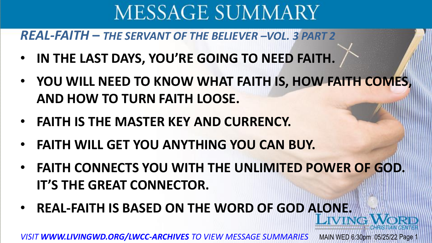*REAL-FAITH* **–** *THE SERVANT OF THE BELIEVER –VOL. 3 PART 2*

- **IN THE LAST DAYS, YOU'RE GOING TO NEED FAITH.**
- **YOU WILL NEED TO KNOW WHAT FAITH IS, HOW FAITH COMES, AND HOW TO TURN FAITH LOOSE.**
- **FAITH IS THE MASTER KEY AND CURRENCY.**
- **FAITH WILL GET YOU ANYTHING YOU CAN BUY.**
- **FAITH CONNECTS YOU WITH THE UNLIMITED POWER OF GOD. IT'S THE GREAT CONNECTOR.**
- **REAL-FAITH IS BASED ON THE WORD OF GOD ALONE.**

*VISIT WWW.LIVINGWD.ORG/LWCC-ARCHIVES TO VIEW MESSAGE SUMMARIES* MAIN WED 6:30pm 05/25/22 Page 1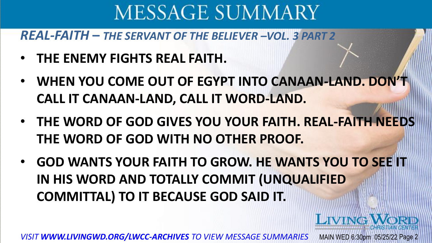*REAL-FAITH* **–** *THE SERVANT OF THE BELIEVER –VOL. 3 PART 2*

- **THE ENEMY FIGHTS REAL FAITH.**
- **WHEN YOU COME OUT OF EGYPT INTO CANAAN-LAND. DON'T CALL IT CANAAN-LAND, CALL IT WORD-LAND.**
- **THE WORD OF GOD GIVES YOU YOUR FAITH. REAL-FAITH NEEDS THE WORD OF GOD WITH NO OTHER PROOF.**
- **GOD WANTS YOUR FAITH TO GROW. HE WANTS YOU TO SEE IT IN HIS WORD AND TOTALLY COMMIT (UNQUALIFIED COMMITTAL) TO IT BECAUSE GOD SAID IT.**

LIVING

*VISIT WWW.LIVINGWD.ORG/LWCC-ARCHIVES TO VIEW MESSAGE SUMMARIES* MAIN WED 6:30pm 05/25/22 Page 2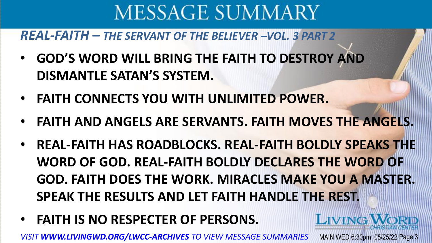*REAL-FAITH* **–** *THE SERVANT OF THE BELIEVER –VOL. 3 PART 2*

- **GOD'S WORD WILL BRING THE FAITH TO DESTROY AND DISMANTLE SATAN'S SYSTEM.**
- **FAITH CONNECTS YOU WITH UNLIMITED POWER.**
- **FAITH AND ANGELS ARE SERVANTS. FAITH MOVES THE ANGELS.**
- **REAL-FAITH HAS ROADBLOCKS. REAL-FAITH BOLDLY SPEAKS THE WORD OF GOD. REAL-FAITH BOLDLY DECLARES THE WORD OF GOD. FAITH DOES THE WORK. MIRACLES MAKE YOU A MASTER. SPEAK THE RESULTS AND LET FAITH HANDLE THE REST.**

**LIVING** 

• **FAITH IS NO RESPECTER OF PERSONS.**

*VISIT WWW.LIVINGWD.ORG/LWCC-ARCHIVES TO VIEW MESSAGE SUMMARIES* MAIN WED 6:30pm 05/25/22 Page 3